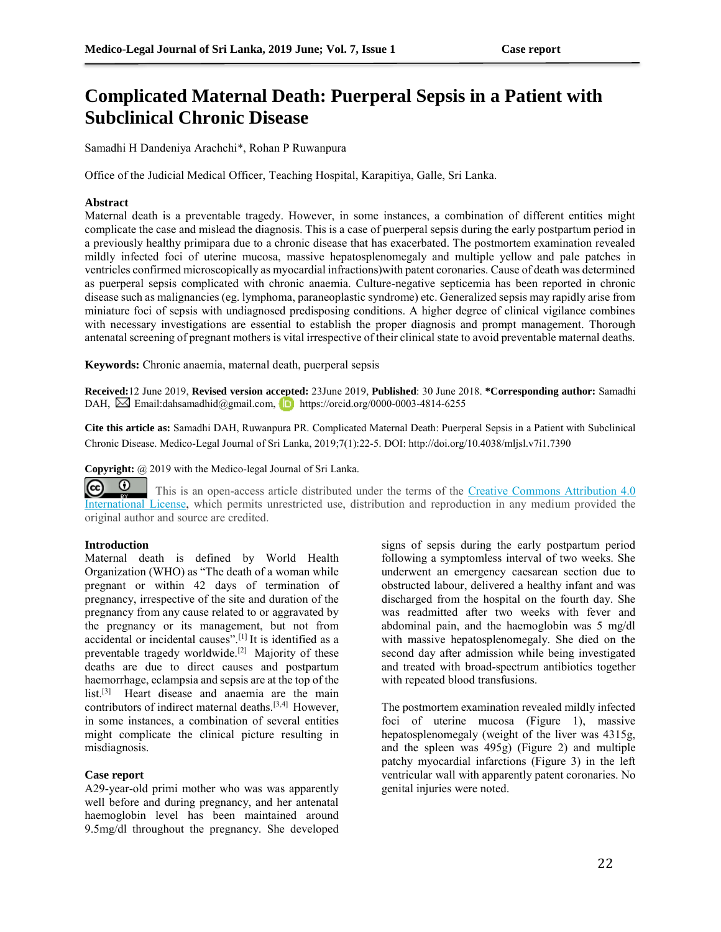# **Complicated Maternal Death: Puerperal Sepsis in a Patient with Subclinical Chronic Disease**

Samadhi H Dandeniya Arachchi\*, Rohan P Ruwanpura

Office of the Judicial Medical Officer, Teaching Hospital, Karapitiya, Galle, Sri Lanka.

## **Abstract**

Maternal death is a preventable tragedy. However, in some instances, a combination of different entities might complicate the case and mislead the diagnosis. This is a case of puerperal sepsis during the early postpartum period in a previously healthy primipara due to a chronic disease that has exacerbated. The postmortem examination revealed mildly infected foci of uterine mucosa, massive hepatosplenomegaly and multiple yellow and pale patches in ventricles confirmed microscopically as myocardial infractions)with patent coronaries. Cause of death was determined as puerperal sepsis complicated with chronic anaemia. Culture-negative septicemia has been reported in chronic disease such as malignancies (eg. lymphoma, paraneoplastic syndrome) etc. Generalized sepsis may rapidly arise from miniature foci of sepsis with undiagnosed predisposing conditions. A higher degree of clinical vigilance combines with necessary investigations are essential to establish the proper diagnosis and prompt management. Thorough antenatal screening of pregnant mothers is vital irrespective of their clinical state to avoid preventable maternal deaths.

**Keywords:** Chronic anaemia, maternal death, puerperal sepsis

**Received:**12 June 2019, **Revised version accepted:** 23June 2019, **Published**: 30 June 2018. **\*Corresponding author:** Samadhi DAH,  $\boxtimes$  Email:dahsamadhid@gmail.com, https://orcid.org/0000-0003-4814-6255

**Cite this article as:** Samadhi DAH, Ruwanpura PR. Complicated Maternal Death: Puerperal Sepsis in a Patient with Subclinical Chronic Disease. Medico-Legal Journal of Sri Lanka, 2019;7(1):22-5. DOI: http://doi.org/10.4038/mljsl.v7i1.7390

**Copyright:** @ 2019 with the Medico-legal Journal of Sri Lanka.

 $\odot$ രി This is an open-access article distributed under the terms of the [Creative Commons Attribution 4.0](http://creativecommons.org/licenses/by/4.0/)  [International License,](http://creativecommons.org/licenses/by/4.0/) which permits unrestricted use, distribution and reproduction in any medium provided the original author and source are credited.

### **Introduction**

Maternal death is defined by World Health Organization (WHO) as "The death of a woman while pregnant or within 42 days of termination of pregnancy, irrespective of the site and duration of the pregnancy from any cause related to or aggravated by the pregnancy or its management, but not from accidental or incidental causes".[1] It is identified as a preventable tragedy worldwide.[2] Majority of these deaths are due to direct causes and postpartum haemorrhage, eclampsia and sepsis are at the top of the list.<sup>[3]</sup> Heart disease and anaemia are the main contributors of indirect maternal deaths.[3,4] However, in some instances, a combination of several entities might complicate the clinical picture resulting in misdiagnosis.

## **Case report**

A29-year-old primi mother who was was apparently well before and during pregnancy, and her antenatal haemoglobin level has been maintained around 9.5mg/dl throughout the pregnancy. She developed signs of sepsis during the early postpartum period following a symptomless interval of two weeks. She underwent an emergency caesarean section due to obstructed labour, delivered a healthy infant and was discharged from the hospital on the fourth day. She was readmitted after two weeks with fever and abdominal pain, and the haemoglobin was 5 mg/dl with massive hepatosplenomegaly. She died on the second day after admission while being investigated and treated with broad-spectrum antibiotics together with repeated blood transfusions.

The postmortem examination revealed mildly infected foci of uterine mucosa (Figure 1), massive hepatosplenomegaly (weight of the liver was 4315g, and the spleen was 495g) (Figure 2) and multiple patchy myocardial infarctions (Figure 3) in the left ventricular wall with apparently patent coronaries. No genital injuries were noted.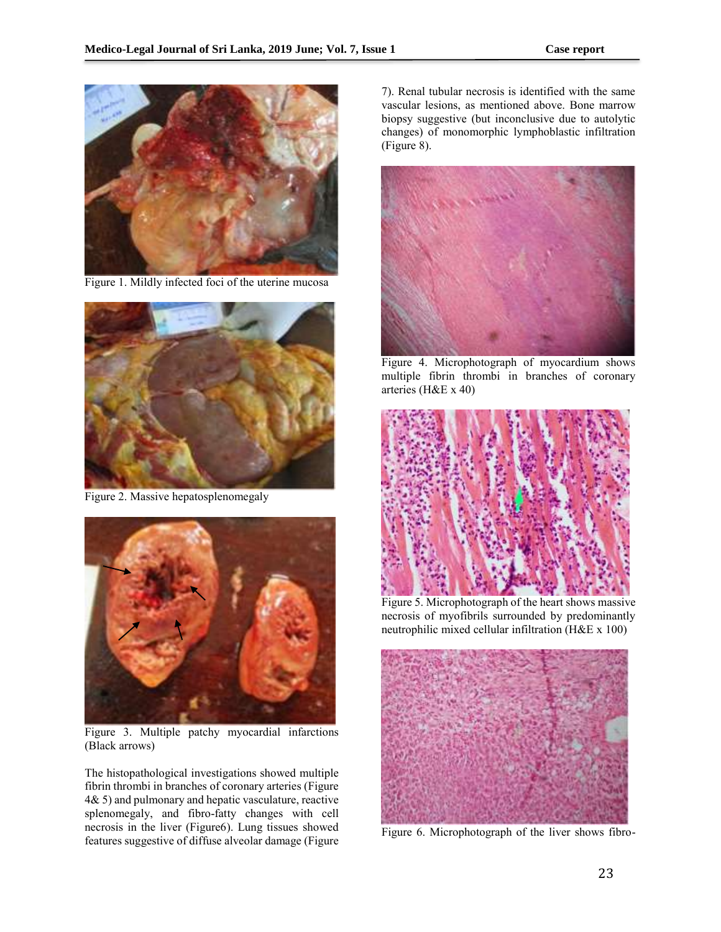

Figure 1. Mildly infected foci of the uterine mucosa



Figure 2. Massive hepatosplenomegaly



Figure 3. Multiple patchy myocardial infarctions (Black arrows)

The histopathological investigations showed multiple fibrin thrombi in branches of coronary arteries (Figure 4& 5) and pulmonary and hepatic vasculature, reactive splenomegaly, and fibro-fatty changes with cell necrosis in the liver (Figure6). Lung tissues showed features suggestive of diffuse alveolar damage (Figure

7). Renal tubular necrosis is identified with the same vascular lesions, as mentioned above. Bone marrow biopsy suggestive (but inconclusive due to autolytic changes) of monomorphic lymphoblastic infiltration (Figure 8).



Figure 4. Microphotograph of myocardium shows multiple fibrin thrombi in branches of coronary arteries (H&E x 40)



Figure 5. Microphotograph of the heart shows massive necrosis of myofibrils surrounded by predominantly neutrophilic mixed cellular infiltration (H&E x 100)



Figure 6. Microphotograph of the liver shows fibro-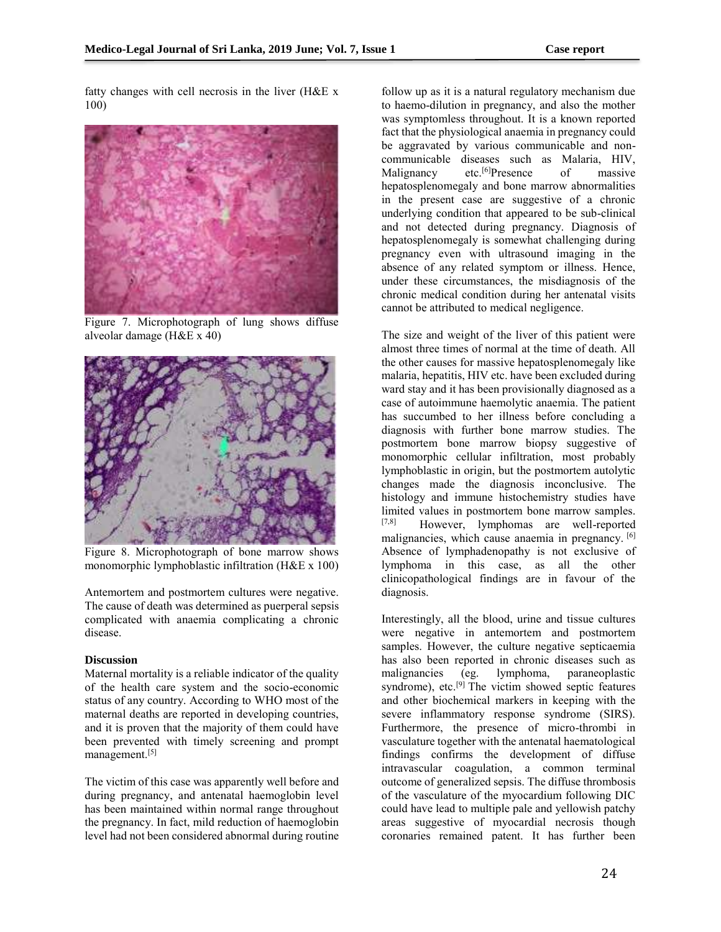fatty changes with cell necrosis in the liver (H&E x 100)



Figure 7. Microphotograph of lung shows diffuse alveolar damage (H&E x 40)



Figure 8. Microphotograph of bone marrow shows monomorphic lymphoblastic infiltration (H&E x 100)

Antemortem and postmortem cultures were negative. The cause of death was determined as puerperal sepsis complicated with anaemia complicating a chronic disease.

## **Discussion**

Maternal mortality is a reliable indicator of the quality of the health care system and the socio-economic status of any country. According to WHO most of the maternal deaths are reported in developing countries, and it is proven that the majority of them could have been prevented with timely screening and prompt management.[5]

The victim of this case was apparently well before and during pregnancy, and antenatal haemoglobin level has been maintained within normal range throughout the pregnancy. In fact, mild reduction of haemoglobin level had not been considered abnormal during routine

follow up as it is a natural regulatory mechanism due to haemo-dilution in pregnancy, and also the mother was symptomless throughout. It is a known reported fact that the physiological anaemia in pregnancy could be aggravated by various communicable and noncommunicable diseases such as Malaria, HIV, Malignancy etc.<sup>[6]</sup>Presence of massive hepatosplenomegaly and bone marrow abnormalities in the present case are suggestive of a chronic underlying condition that appeared to be sub-clinical and not detected during pregnancy. Diagnosis of hepatosplenomegaly is somewhat challenging during pregnancy even with ultrasound imaging in the absence of any related symptom or illness. Hence, under these circumstances, the misdiagnosis of the chronic medical condition during her antenatal visits cannot be attributed to medical negligence.

The size and weight of the liver of this patient were almost three times of normal at the time of death. All the other causes for massive hepatosplenomegaly like malaria, hepatitis, HIV etc. have been excluded during ward stay and it has been provisionally diagnosed as a case of autoimmune haemolytic anaemia. The patient has succumbed to her illness before concluding a diagnosis with further bone marrow studies. The postmortem bone marrow biopsy suggestive of monomorphic cellular infiltration, most probably lymphoblastic in origin, but the postmortem autolytic changes made the diagnosis inconclusive. The histology and immune histochemistry studies have limited values in postmortem bone marrow samples.<br>[7,8] However lymphomas are well-reported. However, lymphomas are well-reported malignancies, which cause anaemia in pregnancy. [6] Absence of lymphadenopathy is not exclusive of lymphoma in this case, as all the other clinicopathological findings are in favour of the diagnosis.

Interestingly, all the blood, urine and tissue cultures were negative in antemortem and postmortem samples. However, the culture negative septicaemia has also been reported in chronic diseases such as malignancies (eg. lymphoma, paraneoplastic paraneoplastic syndrome), etc.<sup>[9]</sup> The victim showed septic features and other biochemical markers in keeping with the severe inflammatory response syndrome (SIRS). Furthermore, the presence of micro-thrombi in vasculature together with the antenatal haematological findings confirms the development of diffuse intravascular coagulation, a common terminal outcome of generalized sepsis. The diffuse thrombosis of the vasculature of the myocardium following DIC could have lead to multiple pale and yellowish patchy areas suggestive of myocardial necrosis though coronaries remained patent. It has further been